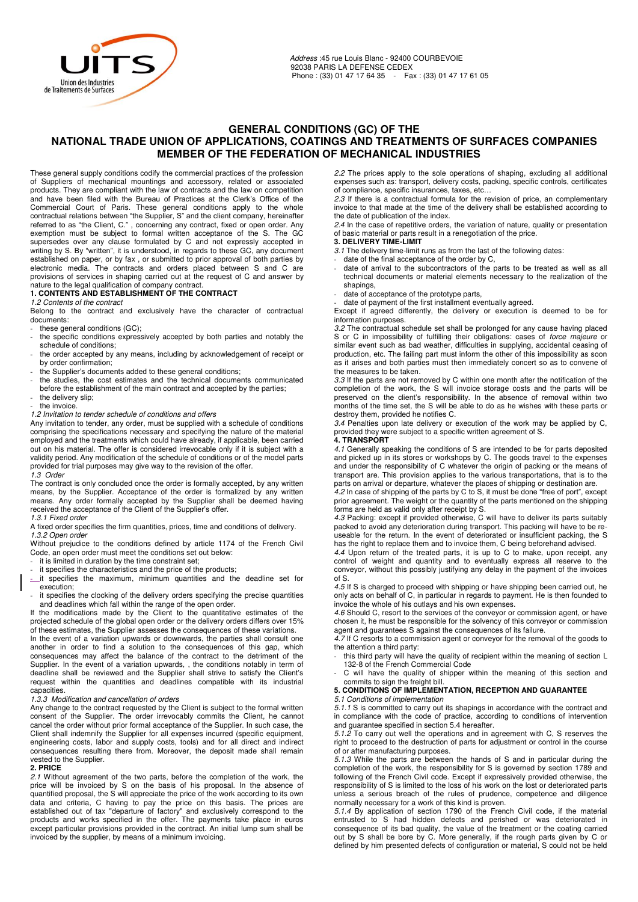

## **GENERAL CONDITIONS (GC) OF THE NATIONAL TRADE UNION OF APPLICATIONS, COATINGS AND TREATMENTS OF SURFACES COMPANIES MEMBER OF THE FEDERATION OF MECHANICAL INDUSTRIES**

These general supply conditions codify the commercial practices of the profession of Suppliers of mechanical mountings and accessory, related or associated products. They are compliant with the law of contracts and the law on competition and have been filed with the Bureau of Practices at the Clerk's Office of the Commercial Court of Paris. These general conditions apply to the whole contractual relations between "the Supplier, S" and the client company, hereinafter referred to as "the Client, C." , concerning any contract, fixed or open order. Any exemption must be subject to formal written acceptance of the S. The GC supersedes over any clause formulated by C and not expressly accepted in writing by S. By "written", it is understood, in regards to these GC, any document established on paper, or by fax , or submitted to prior approval of both parties by electronic media. The contracts and orders placed between S and C are provisions of services in shaping carried out at the request of C and answer by nature to the legal qualification of company contract.

## **1. CONTENTS AND ESTABLISHMENT OF THE CONTRACT**

*1.2 Contents of the contract* 

Belong to the contract and exclusively have the character of contractual documents:

- these general conditions (GC);
- the specific conditions expressively accepted by both parties and notably the schedule of conditions;
- the order accepted by any means, including by acknowledgement of receipt or by order confirmation;
- the Supplier's documents added to these general conditions;
- the studies, the cost estimates and the technical documents communicated before the establishment of the main contract and accepted by the parties;
- the delivery slip; the invoice.
- *1.2 Invitation to tender schedule of conditions and offers*

Any invitation to tender, any order, must be supplied with a schedule of conditions comprising the specifications necessary and specifying the nature of the material employed and the treatments which could have already, if applicable, been carried out on his material. The offer is considered irrevocable only if it is subject with a validity period. Any modification of the schedule of conditions or of the model parts provided for trial purposes may give way to the revision of the offer.

*1.3 Order* 

The contract is only concluded once the order is formally accepted, by any written means, by the Supplier. Acceptance of the order is formalized by any written means. Any order formally accepted by the Supplier shall be deemed having received the acceptance of the Client of the Supplier's offer.

*1.3.1 Fixed order* 

A fixed order specifies the firm quantities, prices, time and conditions of delivery. *1.3.2 Open order* 

Without prejudice to the conditions defined by article 1174 of the French Civil Code, an open order must meet the conditions set out below:

it is limited in duration by the time constraint set; it specifies the characteristics and the price of the products;

- it specifies the maximum, minimum quantities and the deadline set for execution;
- it specifies the clocking of the delivery orders specifying the precise quantities and deadlines which fall within the range of the open order.

If the modifications made by the Client to the quantitative estimates of the projected schedule of the global open order or the delivery orders differs over 15% of these estimates, the Supplier assesses the consequences of these variations.

In the event of a variation upwards or downwards, the parties shall consult one another in order to find a solution to the consequences of this gap, which consequences may affect the balance of the contract to the detriment of the Supplier. In the event of a variation upwards, , the conditions notably in term of deadline shall be reviewed and the Supplier shall strive to satisfy the Client's request within the quantities and deadlines compatible with its industrial capacities.

### *1.3.3 Modification and cancellation of orders*

Any change to the contract requested by the Client is subject to the formal written consent of the Supplier. The order irrevocably commits the Client, he cannot cancel the order without prior formal acceptance of the Supplier. In such case, the Client shall indemnify the Supplier for all expenses incurred (specific equipment, engineering costs, labor and supply costs, tools) and for all direct and indirect consequences resulting there from. Moreover, the deposit made shall remain vested to the Supplier. **2. PRICE** 

*2.1* Without agreement of the two parts, before the completion of the work, the price will be invoiced by S on the basis of his proposal. In the absence of quantified proposal, the S will appreciate the price of the work according to its own data and criteria, C having to pay the price on this basis. The prices are established out of tax "departure of factory" and exclusively correspond to the products and works specified in the offer. The payments take place in euros except particular provisions provided in the contract. An initial lump sum shall be invoiced by the supplier, by means of a minimum invoicing.

*2.2* The prices apply to the sole operations of shaping, excluding all additional expenses such as: transport, delivery costs, packing, specific controls, certificates of compliance, specific insurances, taxes, etc…

*2.3* If there is a contractual formula for the revision of price, an complementary invoice to that made at the time of the delivery shall be established according to the date of publication of the index.

*2.4* In the case of repetitive orders, the variation of nature, quality or presentation of basic material or parts result in a renegotiation of the price. **3. DELIVERY TIME-LIMIT** 

- *3.1* The delivery time-limit runs as from the last of the following dates:
- date of the final acceptance of the order by C,
- date of arrival to the subcontractors of the parts to be treated as well as all technical documents or material elements necessary to the realization of the shapings,
- date of acceptance of the prototype parts,
- date of payment of the first installment eventually agreed.

Except if agreed differently, the delivery or execution is deemed to be for information purposes.

*3.2* The contractual schedule set shall be prolonged for any cause having placed S or C in impossibility of fulfilling their obligations: cases of *force majeure* or similar event such as bad weather, difficulties in supplying, accidental ceasing of production, etc. The failing part must inform the other of this impossibility as soon as it arises and both parties must then immediately concert so as to convene of the measures to be taken.

*3.3* If the parts are not removed by C within one month after the notification of the completion of the work, the S will invoice storage costs and the parts will be preserved on the client's responsibility. In the absence of removal within two months of the time set, the S will be able to do as he wishes with these parts or destroy them, provided he notifies C.

*3.4* Penalties upon late delivery or execution of the work may be applied by C, provided they were subject to a specific written agreement of S.

# **4. TRANSPORT**

*4.1* Generally speaking the conditions of S are intended to be for parts deposited and picked up in its stores or workshops by C. The goods travel to the expenses and under the responsibility of C whatever the origin of packing or the means of transport are. This provision applies to the various transportations, that is to the parts on arrival or departure, whatever the places of shipping or destination are.

*4.2* In case of shipping of the parts by C to S, it must be done "free of port", except prior agreement. The weight or the quantity of the parts mentioned on the shipping forms are held as valid only after receipt by S.

*4.3* Packing: except if provided otherwise, C will have to deliver its parts suitably packed to avoid any deterioration during transport. This packing will have to be reuseable for the return. In the event of deteriorated or insufficient packing, the S has the right to replace them and to invoice them, C being beforehand advised.

*4.4* Upon return of the treated parts, it is up to C to make, upon receipt, any control of weight and quantity and to eventually express all reserve to the conveyor, without this possibly justifying any delay in the payment of the invoices of S.

*4.5* If S is charged to proceed with shipping or have shipping been carried out, he only acts on behalf of C, in particular in regards to payment. He is then founded to invoice the whole of his outlays and his own expenses.

*4.6* Should C, resort to the services of the conveyor or commission agent, or have chosen it, he must be responsible for the solvency of this conveyor or commission agent and guarantees S against the consequences of its failure.

*4.7* If C resorts to a commission agent or conveyor for the removal of the goods to the attention a third party:

- this third party will have the quality of recipient within the meaning of section L 132-8 of the French Commercial Code

C will have the quality of shipper within the meaning of this section and commits to sign the freight bill.

## **5. CONDITIONS OF IMPLEMENTATION, RECEPTION AND GUARANTEE**

#### *5.1 Conditions of implementation*

*5.1.1* S is committed to carry out its shapings in accordance with the contract and in compliance with the code of practice, according to conditions of intervention and guarantee specified in section 5.4 hereafter.

*5.1.2* To carry out well the operations and in agreement with C, S reserves the right to proceed to the destruction of parts for adjustment or control in the course of or after manufacturing purposes.

*5.1.3* While the parts are between the hands of S and in particular during the completion of the work, the responsibility for S is governed by section 1789 and following of the French Civil code. Except if expressively provided otherwise, the responsibility of S is limited to the loss of his work on the lost or deteriorated parts unless a serious breach of the rules of prudence, competence and diligence normally necessary for a work of this kind is proven.

*5.1.4* By application of section 1790 of the French Civil code, if the material entrusted to S had hidden defects and perished or was deteriorated in consequence of its bad quality, the value of the treatment or the coating carried out by S shall be bore by C. More generally, if the rough parts given by C or defined by him presented defects of configuration or material, S could not be held